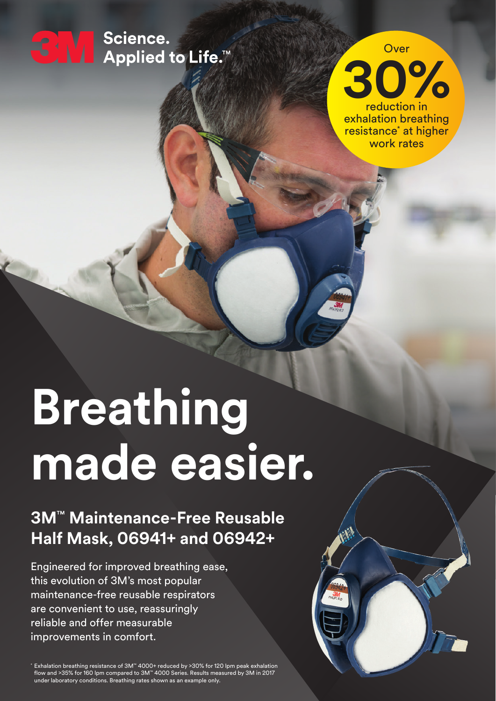

← V Science.<br>← V Applied to Life.™



resistance<sup>\*</sup> at higher work rates

# **Breathing made easier.**

## **3M**™ **Maintenance-Free Reusable Half Mask, 06941+ and 06942+**

Engineered for improved breathing ease, this evolution of 3M's most popular maintenance-free reusable respirators are convenient to use, reassuringly reliable and offer measurable improvements in comfort.

\* Exhalation breathing resistance of 3M™ 4000+ reduced by >30% for 120 lpm peak exhalation flow and >35% for 160 lpm compared to 3M™ 4000 Series. Results measured by 3M in 2017 under laboratory conditions. Breathing rates shown as an example only.